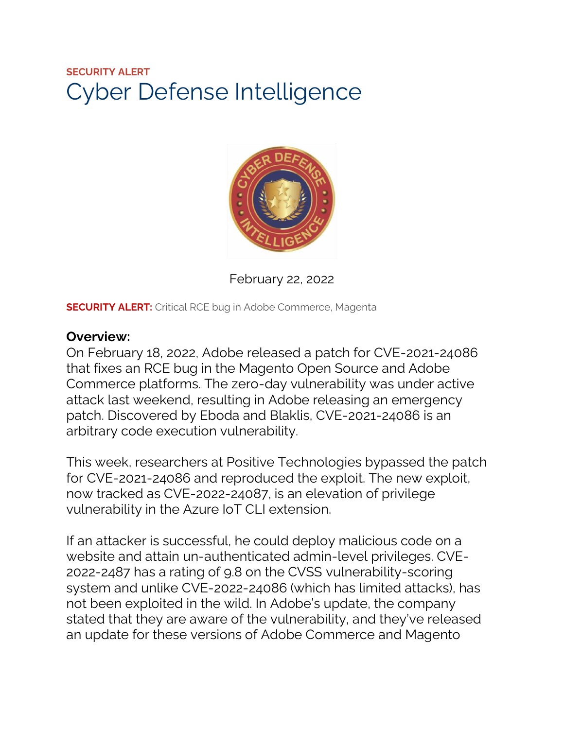# **SECURITY ALERT** Cyber Defense Intelligence



February 22, 2022

**SECURITY ALERT:** Critical RCE bug in Adobe Commerce, Magenta

#### **Overview:**

On February 18, 2022, Adobe released a patch for CVE-2021-24086 that fixes an RCE bug in the Magento Open Source and Adobe Commerce platforms. The zero-day vulnerability was under active attack last weekend, resulting in Adobe releasing an emergency patch. Discovered by Eboda and Blaklis, CVE-2021-24086 is an arbitrary code execution vulnerability.

This week, researchers at Positive Technologies bypassed the patch for CVE-2021-24086 and reproduced the exploit. The new exploit, now tracked as CVE-2022-24087, is an elevation of privilege vulnerability in the Azure IoT CLI extension.

If an attacker is successful, he could deploy malicious code on a website and attain un-authenticated admin-level privileges. CVE-2022-2487 has a rating of 9.8 on the CVSS vulnerability-scoring system and unlike CVE-2022-24086 (which has limited attacks), has not been exploited in the wild. In Adobe's update, the company stated that they are aware of the vulnerability, and they've released an update for these versions of Adobe Commerce and Magento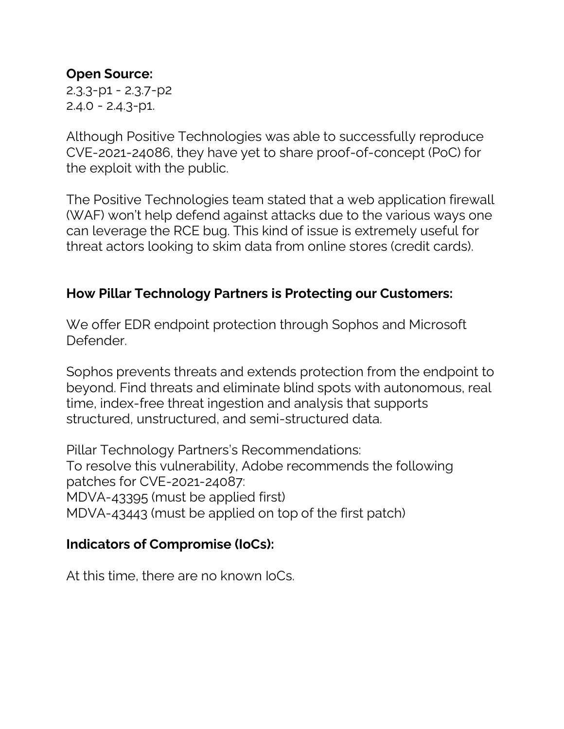#### **Open Source:**

2.3.3-p1 - 2.3.7-p2  $2.4.0 - 2.4.3 - p1.$ 

Although Positive Technologies was able to successfully reproduce CVE-2021-24086, they have yet to share proof-of-concept (PoC) for the exploit with the public.

The Positive Technologies team stated that a web application firewall (WAF) won't help defend against attacks due to the various ways one can leverage the RCE bug. This kind of issue is extremely useful for threat actors looking to skim data from online stores (credit cards).

### **How Pillar Technology Partners is Protecting our Customers:**

We offer EDR endpoint protection through Sophos and Microsoft Defender.

Sophos prevents threats and extends protection from the endpoint to beyond. Find threats and eliminate blind spots with autonomous, real time, index-free threat ingestion and analysis that supports structured, unstructured, and semi-structured data.

Pillar Technology Partners's Recommendations: To resolve this vulnerability, Adobe recommends the following patches for CVE-2021-24087: MDVA-43395 (must be applied first) MDVA-43443 (must be applied on top of the first patch)

#### **Indicators of Compromise (IoCs):**

At this time, there are no known IoCs.